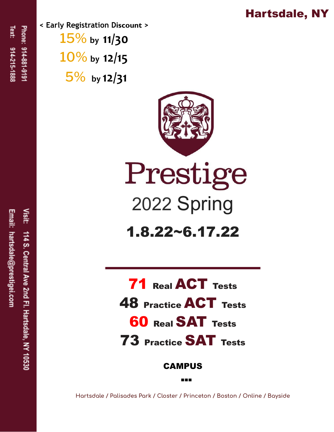## Hartsdale, NY

**< Early Registration Discount >** 15% **by 11/30** 10% **by 12/15** 5% **by 12/31**



Prestige 2022 Spring

1.8.22~6.17.22

**71 Real ACT Tests** 48 Practice ACT Tests **60 Real SAT Tests** 73 Practice SAT Tests

CAMPUS

**Hartsdale / Palisades Park / Closter / Princeton / Boston / Online / Bayside**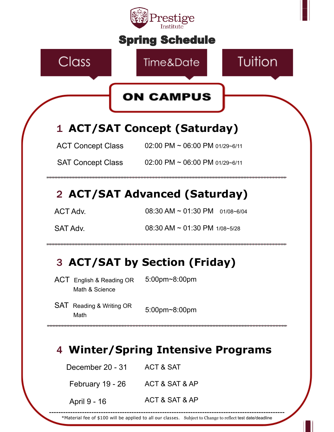

\*Material fee of \$100 will be applied to all our classes. Subject to Change to reflect test date/deadline